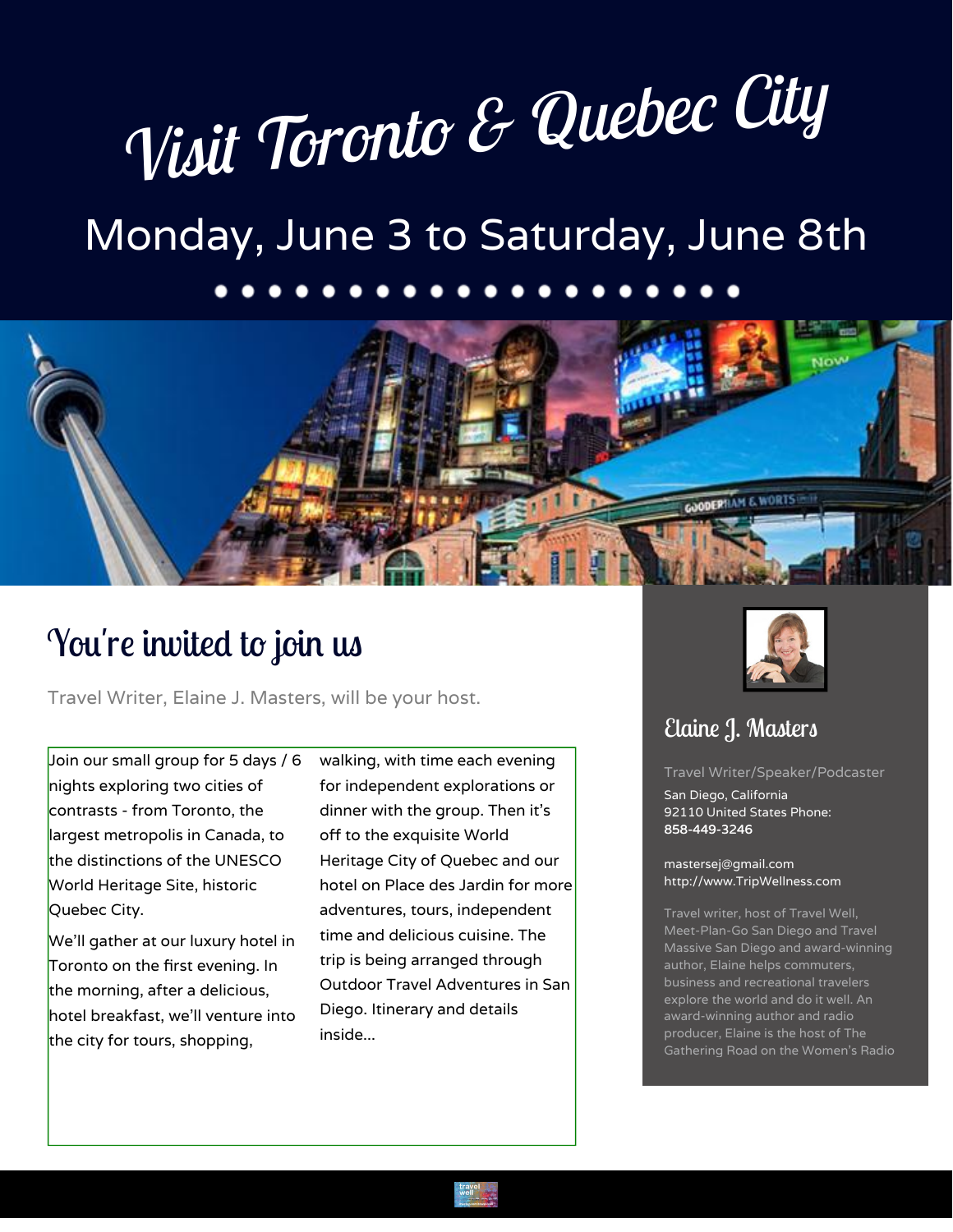# *Visit Toronto & Quebec City*

# Monday, June 3 to Saturday, June 8th



## You're invited to join us

Travel Writer, Elaine J. Masters, will be your host.

Join our small group for 5 days / 6 nights exploring two cities of contrasts - from Toronto, the largest metropolis in Canada, to the distinctions of the UNESCO World Heritage Site, historic Quebec City.

We'll gather at our luxury hotel in Toronto on the first evening. In the morning, after a delicious, hotel breakfast, we'll venture into the city for tours, shopping,

walking, with time each evening for independent explorations or dinner with the group. Then it's off to the exquisite World Heritage City of Quebec and our hotel on Place des Jardin for more adventures, tours, independent time and delicious cuisine. The trip is being arranged through Outdoor Travel Adventures in San Diego. Itinerary and details inside...



### Elaine J. Masters

Travel Writer/Speaker/Podcaster

San Diego, California 92110 United States Phone: 858-449-3246

[mastersej@gmail.com](mailto:mastersej@gmail.com) <http://www.TripWellness.com>

Fox.com, NBC.com, Women's

Meet-Plan-Go San Diego and Travel Massive San Diego and award-winning author, Elaine helps commuters, business and recreational travelers explore the world and do it well. An award-winning author and radio producer, Elaine is the host of The Gathering Road on the Women's Radio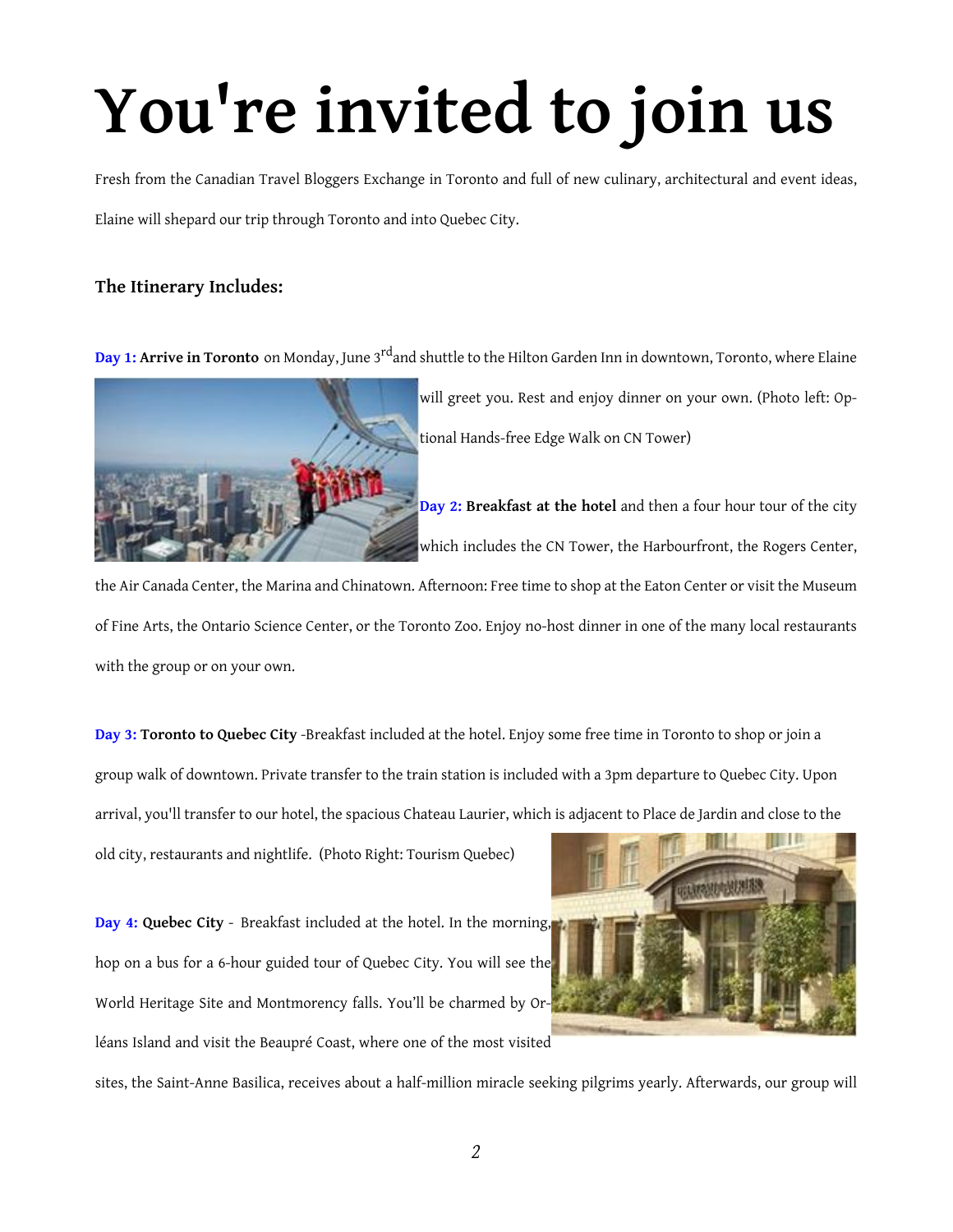# **You're invited to join us**

Fresh from the Canadian Travel Bloggers Exchange in Toronto and full of new culinary, architectural and event ideas,

Elaine will shepard our trip through Toronto and into Quebec City.

#### **The Itinerary Includes:**



**Day 1: Arrive in Toronto** on Monday, June 3 rdand shuttle to the Hilton Garden Inn in downtown, Toronto, where Elaine

will greet you. Rest and enjoy dinner on your own. (Photo left: Optional Hands-free Edge Walk on CN Tower)

**Day 2: Breakfast at the hotel** and then a four hour tour of the city which includes the CN Tower, the Harbourfront, the Rogers Center,

the Air Canada Center, the Marina and Chinatown. Afternoon: Free time to shop at the Eaton Center or visit the Museum of Fine Arts, the Ontario Science Center, or the Toronto Zoo. Enjoy no-host dinner in one of the many local restaurants with the group or on your own.

**Day 3: Toronto to Quebec City** -Breakfast included at the hotel. Enjoy some free time in Toronto to shop or join a group walk of downtown. Private transfer to the train station is included with a 3pm departure to Quebec City. Upon arrival, you'll transfer to our hotel, the spacious Chateau Laurier, which is adjacent to Place de Jardin and close to the

old city, restaurants and nightlife. (Photo Right: Tourism Quebec)

**Day 4: Quebec City** - Breakfast included at the hotel. In the morning, hop on a bus for a 6-hour guided tour of Quebec City. You will see the World Heritage Site and Montmorency falls. You'll be charmed by Orléans Island and visit the Beaupré Coast, where one of the most visited



sites, the Saint-Anne Basilica, receives about a half-million miracle seeking pilgrims yearly. Afterwards, our group will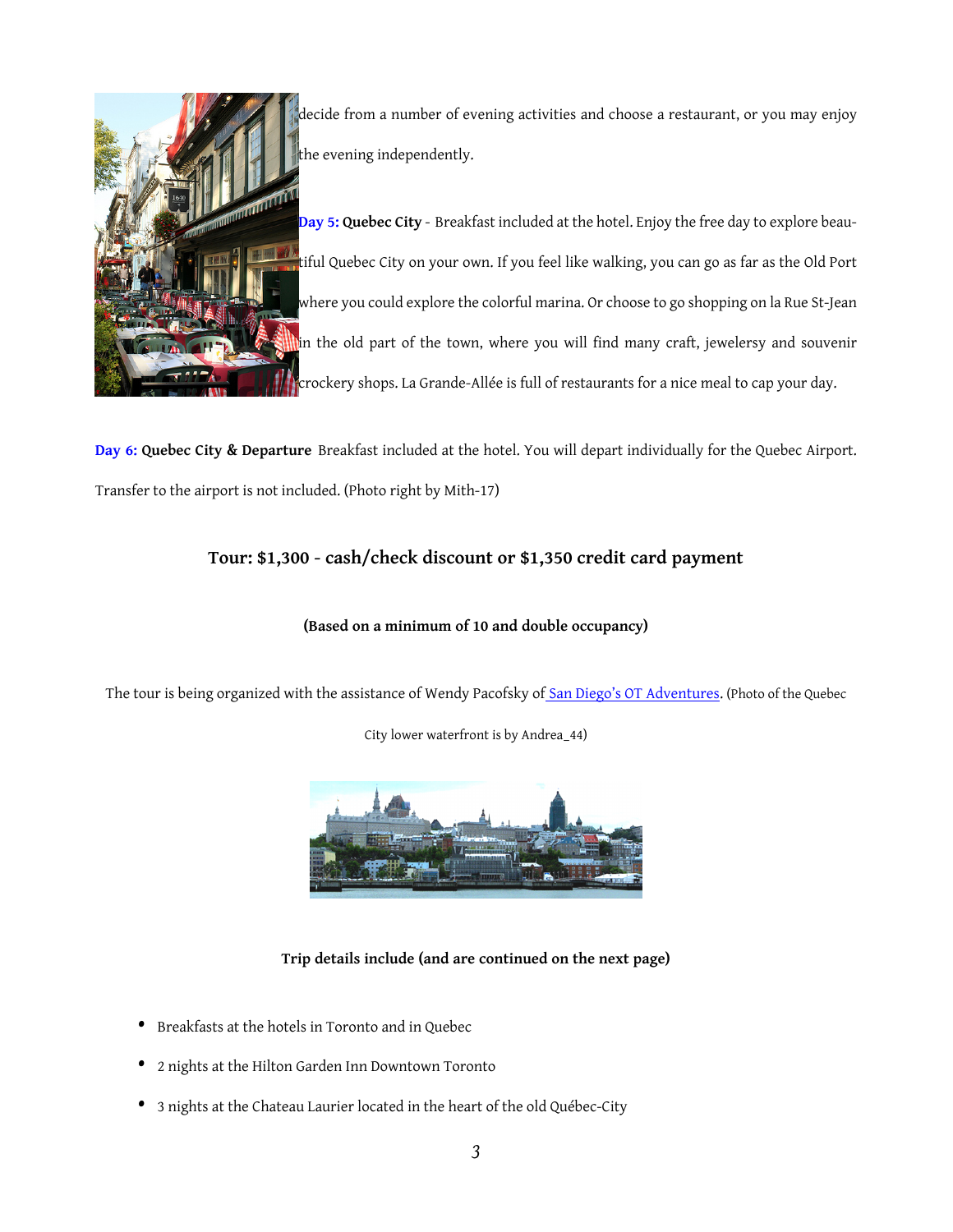

decide from a number of evening activities and choose a restaurant, or you may enjoy the evening independently.

**Day 5: Quebec City** - Breakfast included at the hotel. Enjoy the free day to explore beautiful Quebec City on your own. If you feel like walking, you can go as far as the Old Port where you could explore the colorful marina. Or choose to go shopping on la Rue St-Jean in the old part of the town, where you will find many craft, jewelersy and souvenir crockery shops. La Grande-Allée is full of restaurants for a nice meal to cap your day.

**Day 6: Quebec City & Departure** Breakfast included at the hotel. You will depart individually for the Quebec Airport. Transfer to the airport is not included. (Photo right by Mith-17)

#### **Tour: \$1,300 - cash/check discount or \$1,350 credit card payment**

#### **(Based on a minimum of 10 and double occupancy)**

The tour is being organized with the assistance of Wendy Pacofsky of [San Diego's OT Adventures.](http://www.otadventures.com/) (Photo of the Quebec

City lower waterfront is by Andrea\_44)



#### **Trip details include (and are continued on the next page)**

- Breakfasts at the hotels in Toronto and in Quebec
- 2 nights at the Hilton Garden Inn Downtown Toronto
- 3 nights at the Chateau Laurier located in the heart of the old Québec-City